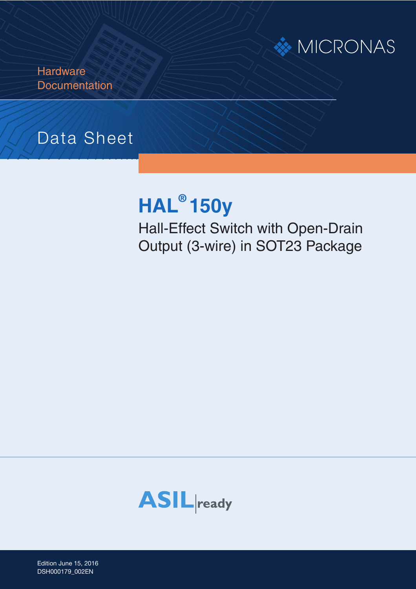

**Hardware Documentation** 

# Data Sheet

# **HAL® 150y**

Hall-Effect Switch with Open-Drain Output (3-wire) in SOT23 Package



Edition June 15, 2016 DSH000179\_002EN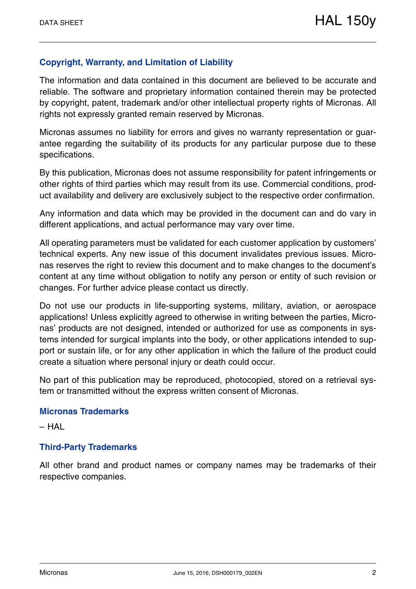#### **Copyright, Warranty, and Limitation of Liability**

The information and data contained in this document are believed to be accurate and reliable. The software and proprietary information contained therein may be protected by copyright, patent, trademark and/or other intellectual property rights of Micronas. All rights not expressly granted remain reserved by Micronas.

Micronas assumes no liability for errors and gives no warranty representation or guarantee regarding the suitability of its products for any particular purpose due to these specifications.

By this publication, Micronas does not assume responsibility for patent infringements or other rights of third parties which may result from its use. Commercial conditions, product availability and delivery are exclusively subject to the respective order confirmation.

Any information and data which may be provided in the document can and do vary in different applications, and actual performance may vary over time.

All operating parameters must be validated for each customer application by customers' technical experts. Any new issue of this document invalidates previous issues. Micronas reserves the right to review this document and to make changes to the document's content at any time without obligation to notify any person or entity of such revision or changes. For further advice please contact us directly.

Do not use our products in life-supporting systems, military, aviation, or aerospace applications! Unless explicitly agreed to otherwise in writing between the parties, Micronas' products are not designed, intended or authorized for use as components in systems intended for surgical implants into the body, or other applications intended to support or sustain life, or for any other application in which the failure of the product could create a situation where personal injury or death could occur.

No part of this publication may be reproduced, photocopied, stored on a retrieval system or transmitted without the express written consent of Micronas.

#### **Micronas Trademarks**

– HAL

#### **Third-Party Trademarks**

All other brand and product names or company names may be trademarks of their respective companies.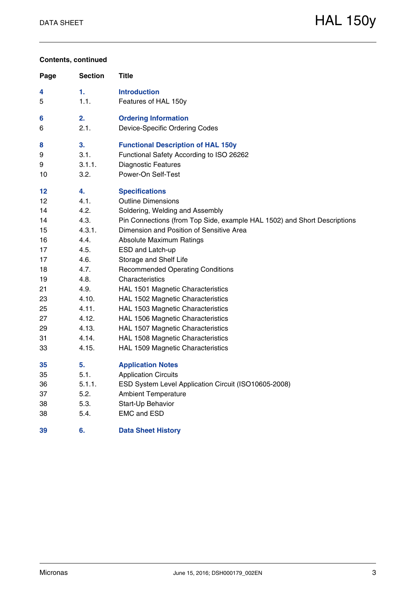#### **Contents, continued**

| Page | <b>Section</b> | Title                                                                    |
|------|----------------|--------------------------------------------------------------------------|
| 4    | 1.             | <b>Introduction</b>                                                      |
| 5    | 1.1.           | Features of HAL 150y                                                     |
| 6    | 2.             | <b>Ordering Information</b>                                              |
| 6    | 2.1.           | Device-Specific Ordering Codes                                           |
| 8    | 3.             | <b>Functional Description of HAL 150y</b>                                |
| 9    | 3.1.           | Functional Safety According to ISO 26262                                 |
| 9    | 3.1.1.         | <b>Diagnostic Features</b>                                               |
| 10   | 3.2.           | Power-On Self-Test                                                       |
| 12   | 4.             | <b>Specifications</b>                                                    |
| 12   | 4.1.           | <b>Outline Dimensions</b>                                                |
| 14   | 4.2.           | Soldering, Welding and Assembly                                          |
| 14   | 4.3.           | Pin Connections (from Top Side, example HAL 1502) and Short Descriptions |
| 15   | 4.3.1.         | Dimension and Position of Sensitive Area                                 |
| 16   | 4.4.           | <b>Absolute Maximum Ratings</b>                                          |
| 17   | 4.5.           | ESD and Latch-up                                                         |
| 17   | 4.6.           | Storage and Shelf Life                                                   |
| 18   | 4.7.           | <b>Recommended Operating Conditions</b>                                  |
| 19   | 4.8.           | Characteristics                                                          |
| 21   | 4.9.           | HAL 1501 Magnetic Characteristics                                        |
| 23   | 4.10.          | HAL 1502 Magnetic Characteristics                                        |
| 25   | 4.11.          | HAL 1503 Magnetic Characteristics                                        |
| 27   | 4.12.          | HAL 1506 Magnetic Characteristics                                        |
| 29   | 4.13.          | HAL 1507 Magnetic Characteristics                                        |
| 31   | 4.14.          | HAL 1508 Magnetic Characteristics                                        |
| 33   | 4.15.          | HAL 1509 Magnetic Characteristics                                        |
| 35   | 5.             | <b>Application Notes</b>                                                 |
| 35   | 5.1.           | <b>Application Circuits</b>                                              |
| 36   | 5.1.1.         | ESD System Level Application Circuit (ISO10605-2008)                     |
| 37   | 5.2.           | <b>Ambient Temperature</b>                                               |
| 38   | 5.3.           | Start-Up Behavior                                                        |
| 38   | 5.4.           | <b>EMC and ESD</b>                                                       |
| 39   | 6.             | <b>Data Sheet History</b>                                                |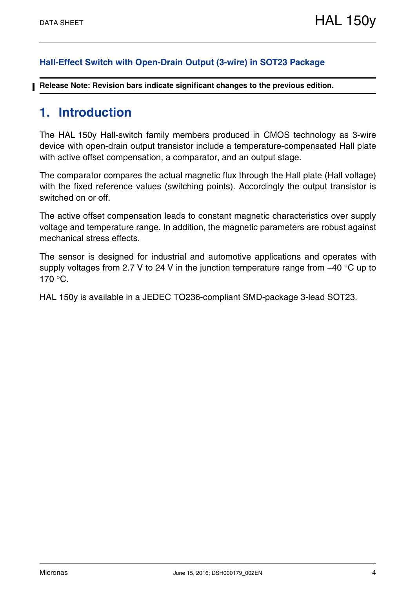#### **Hall-Effect Switch with Open-Drain Output (3-wire) in SOT23 Package**

**Release Note: Revision bars indicate significant changes to the previous edition.**

## **1. Introduction**

The HAL 150y Hall-switch family members produced in CMOS technology as 3-wire device with open-drain output transistor include a temperature-compensated Hall plate with active offset compensation, a comparator, and an output stage.

The comparator compares the actual magnetic flux through the Hall plate (Hall voltage) with the fixed reference values (switching points). Accordingly the output transistor is switched on or off.

The active offset compensation leads to constant magnetic characteristics over supply voltage and temperature range. In addition, the magnetic parameters are robust against mechanical stress effects.

The sensor is designed for industrial and automotive applications and operates with supply voltages from 2.7 V to 24 V in the junction temperature range from  $-40$  °C up to  $170 °C$ .

HAL 150y is available in a JEDEC TO236-compliant SMD-package 3-lead SOT23.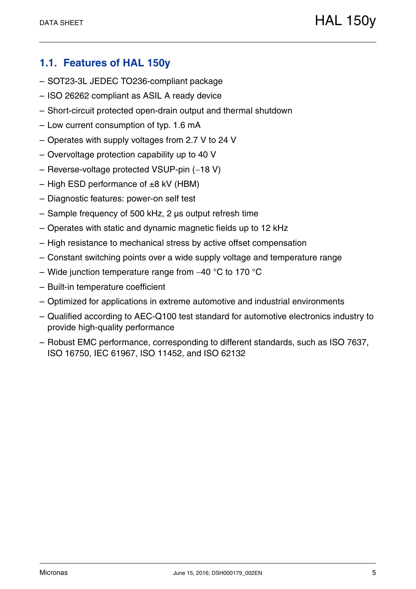## **1.1. Features of HAL 150y**

- SOT23-3L JEDEC TO236-compliant package
- ISO 26262 compliant as ASIL A ready device
- Short-circuit protected open-drain output and thermal shutdown
- Low current consumption of typ. 1.6 mA
- Operates with supply voltages from 2.7 V to 24 V
- Overvoltage protection capability up to 40 V
- $-$  Reverse-voltage protected VSUP-pin  $(-18 V)$
- $-$  High ESD performance of  $\pm 8$  kV (HBM)
- Diagnostic features: power-on self test
- Sample frequency of 500 kHz, 2 µs output refresh time
- Operates with static and dynamic magnetic fields up to 12 kHz
- High resistance to mechanical stress by active offset compensation
- Constant switching points over a wide supply voltage and temperature range
- Wide junction temperature range from  $-40$  °C to 170 °C
- Built-in temperature coefficient
- Optimized for applications in extreme automotive and industrial environments
- Qualified according to AEC-Q100 test standard for automotive electronics industry to provide high-quality performance
- Robust EMC performance, corresponding to different standards, such as ISO 7637, ISO 16750, IEC 61967, ISO 11452, and ISO 62132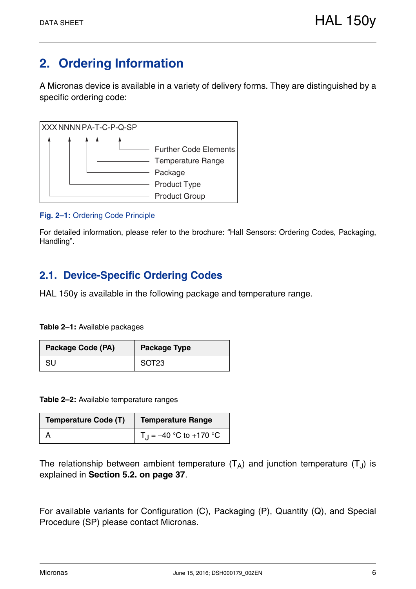# **2. Ordering Information**

A Micronas device is available in a variety of delivery forms. They are distinguished by a specific ordering code:



#### **Fig. 2–1:** Ordering Code Principle

For detailed information, please refer to the brochure: "Hall Sensors: Ordering Codes, Packaging, Handling".

## **2.1. Device-Specific Ordering Codes**

HAL 150y is available in the following package and temperature range.

**Table 2–1:** Available packages

| Package Code (PA) | <b>Package Type</b> |  |  |  |
|-------------------|---------------------|--|--|--|
| SU                | SOT23               |  |  |  |

**Table 2–2:** Available temperature ranges

| <b>Temperature Code (T)</b> | <b>Temperature Range</b>  |  |  |  |  |
|-----------------------------|---------------------------|--|--|--|--|
|                             | $T_1 = -40$ °C to +170 °C |  |  |  |  |

The relationship between ambient temperature  $(T_A)$  and junction temperature  $(T_A)$  is explained in **Section 5.2. on page 37**.

For available variants for Configuration (C), Packaging (P), Quantity (Q), and Special Procedure (SP) please contact Micronas.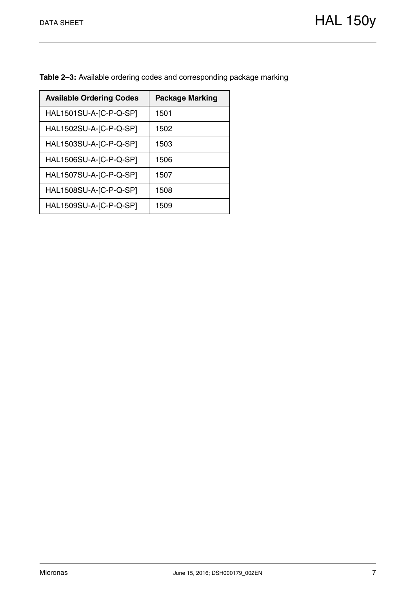| <b>Available Ordering Codes</b> | <b>Package Marking</b> |
|---------------------------------|------------------------|
| HAL1501SU-A-[C-P-Q-SP]          | 1501                   |
| HAL1502SU-A-[C-P-Q-SP]          | 1502                   |
| HAL1503SU-A-[C-P-Q-SP]          | 1503                   |
| HAL1506SU-A-[C-P-Q-SP]          | 1506                   |
| HAL1507SU-A-[C-P-Q-SP]          | 1507                   |
| HAL1508SU-A-[C-P-Q-SP]          | 1508                   |
| HAL1509SU-A-[C-P-Q-SP]          | 1509                   |

**Table 2–3:** Available ordering codes and corresponding package marking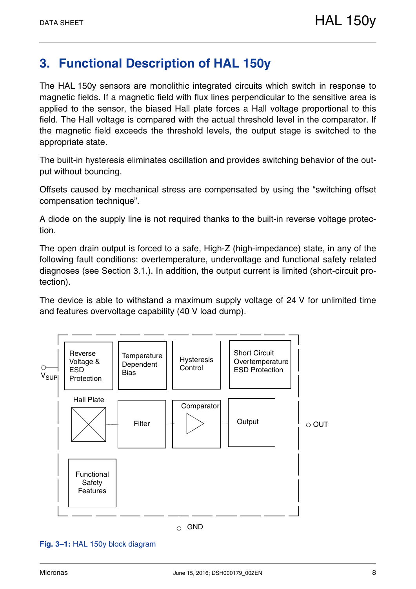# **3. Functional Description of HAL 150y**

The HAL 150y sensors are monolithic integrated circuits which switch in response to magnetic fields. If a magnetic field with flux lines perpendicular to the sensitive area is applied to the sensor, the biased Hall plate forces a Hall voltage proportional to this field. The Hall voltage is compared with the actual threshold level in the comparator. If the magnetic field exceeds the threshold levels, the output stage is switched to the appropriate state.

The built-in hysteresis eliminates oscillation and provides switching behavior of the output without bouncing.

Offsets caused by mechanical stress are compensated by using the "switching offset compensation technique".

A diode on the supply line is not required thanks to the built-in reverse voltage protection.

The open drain output is forced to a safe, High-Z (high-impedance) state, in any of the following fault conditions: overtemperature, undervoltage and functional safety related diagnoses (see Section 3.1.). In addition, the output current is limited (short-circuit protection).

The device is able to withstand a maximum supply voltage of 24 V for unlimited time and features overvoltage capability (40 V load dump).



**Fig. 3–1:** HAL 150y block diagram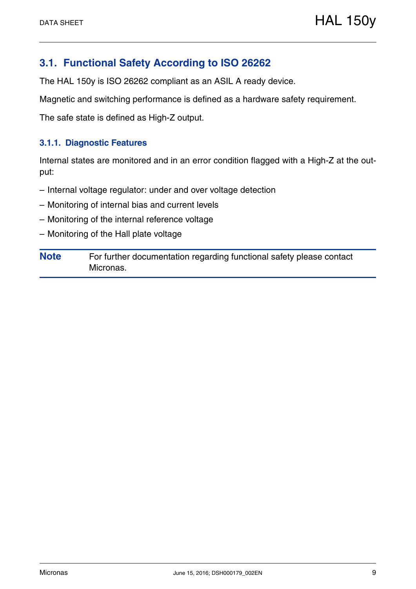## **3.1. Functional Safety According to ISO 26262**

The HAL 150y is ISO 26262 compliant as an ASIL A ready device.

Magnetic and switching performance is defined as a hardware safety requirement.

The safe state is defined as High-Z output.

#### **3.1.1. Diagnostic Features**

Internal states are monitored and in an error condition flagged with a High-Z at the output:

- Internal voltage regulator: under and over voltage detection
- Monitoring of internal bias and current levels
- Monitoring of the internal reference voltage
- Monitoring of the Hall plate voltage

**Note** For further documentation regarding functional safety please contact Micronas.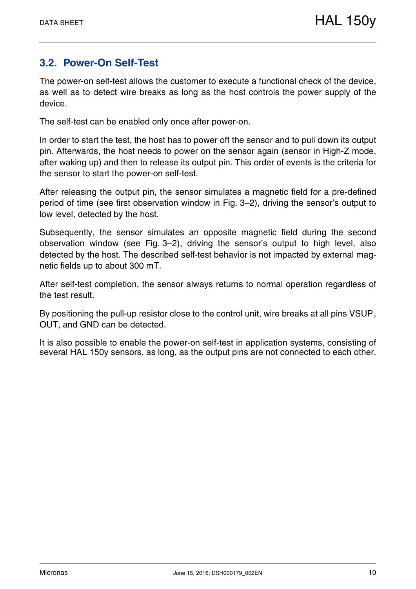## **3.2. Power-On Self-Test**

The power-on self-test allows the customer to execute a functional check of the device, as well as to detect wire breaks as long as the host controls the power supply of the device.

The self-test can be enabled only once after power-on.

In order to start the test, the host has to power off the sensor and to pull down its output pin. Afterwards, the host needs to power on the sensor again (sensor in High-Z mode, after waking up) and then to release its output pin. This order of events is the criteria for the sensor to start the power-on self-test.

After releasing the output pin, the sensor simulates a magnetic field for a pre-defined period of time (see first observation window in Fig. 3–2), driving the sensor's output to low level, detected by the host.

Subsequently, the sensor simulates an opposite magnetic field during the second observation window (see Fig. 3–2), driving the sensor's output to high level, also detected by the host. The described self-test behavior is not impacted by external magnetic fields up to about 300 mT.

After self-test completion, the sensor always returns to normal operation regardless of the test result.

By positioning the pull-up resistor close to the control unit, wire breaks at all pins VSUP, OUT, and GND can be detected.

It is also possible to enable the power-on self-test in application systems, consisting of several HAL 150y sensors, as long, as the output pins are not connected to each other.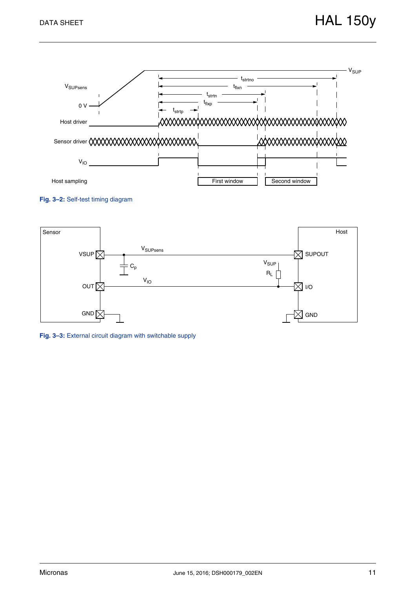





**Fig. 3–3:** External circuit diagram with switchable supply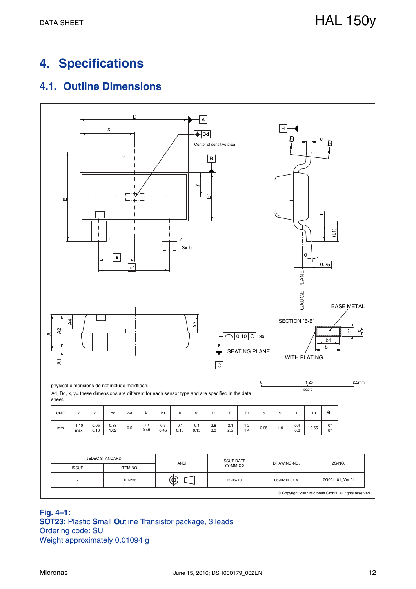# **4. Specifications**

## **4.1. Outline Dimensions**



#### **Fig. 4–1: SOT23**: Plastic **S**mall **O**utline **T**ransistor package, 3 leads Ordering code: SU Weight approximately 0.01094 g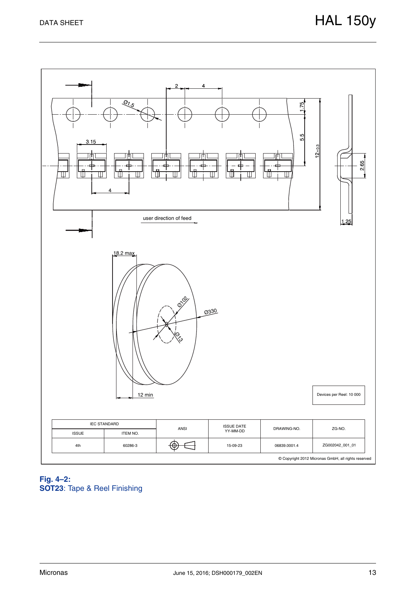

#### **Fig. 4–2: SOT23**: Tape & Reel Finishing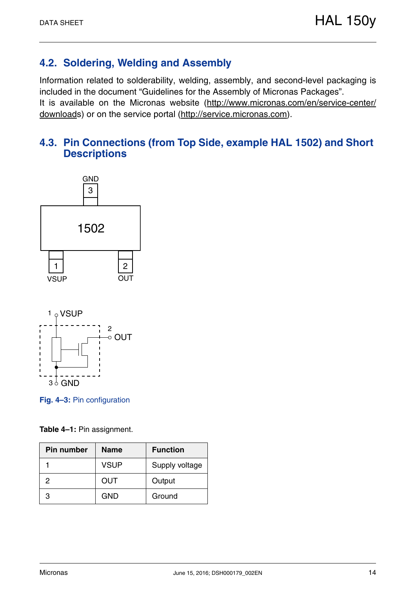## **4.2. Soldering, Welding and Assembly**

Information related to solderability, welding, assembly, and second-level packaging is included in the document "Guidelines for the Assembly of Micronas Packages". It is available on the Micronas website (http://www.micronas.com/en/service-center/ downloads) or on the service portal (http://service.micronas.com).

## **4.3. Pin Connections (from Top Side, example HAL 1502) and Short Descriptions**





**Fig. 4–3:** Pin configuration

|  |  | <b>Table 4-1: Pin assignment.</b> |
|--|--|-----------------------------------|
|--|--|-----------------------------------|

| <b>Pin number</b> | <b>Name</b> | <b>Function</b> |  |  |
|-------------------|-------------|-----------------|--|--|
|                   | <b>VSUP</b> | Supply voltage  |  |  |
| 2                 | OUT         | Output          |  |  |
| з                 | <b>GND</b>  | Ground          |  |  |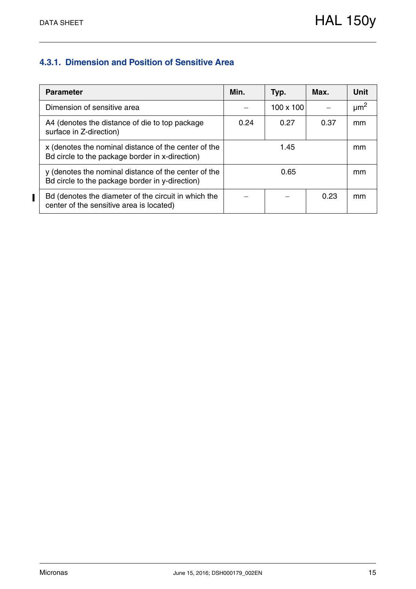## **4.3.1. Dimension and Position of Sensitive Area**

| <b>Parameter</b>                                                                                        | Min. | Typ.             | Max. | Unit      |
|---------------------------------------------------------------------------------------------------------|------|------------------|------|-----------|
| Dimension of sensitive area                                                                             |      | $100 \times 100$ |      | $\mu m^2$ |
| A4 (denotes the distance of die to top package<br>surface in Z-direction)                               | 0.24 | 0.27             | 0.37 | mm        |
| x (denotes the nominal distance of the center of the<br>Bd circle to the package border in x-direction) |      | mm               |      |           |
| y (denotes the nominal distance of the center of the<br>Bd circle to the package border in y-direction) | 0.65 |                  |      | mm        |
| Bd (denotes the diameter of the circuit in which the<br>center of the sensitive area is located)        |      |                  | 0.23 | mm        |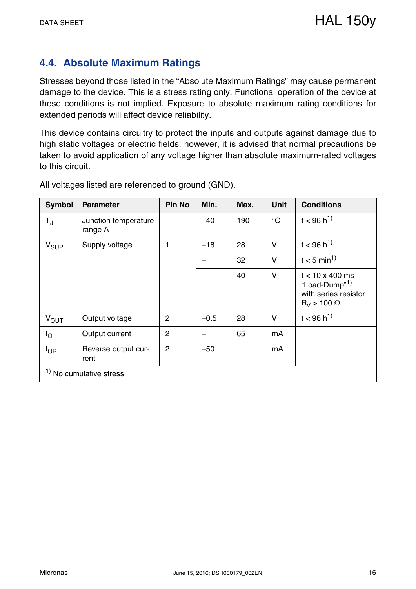## **4.4. Absolute Maximum Ratings**

Stresses beyond those listed in the "Absolute Maximum Ratings" may cause permanent damage to the device. This is a stress rating only. Functional operation of the device at these conditions is not implied. Exposure to absolute maximum rating conditions for extended periods will affect device reliability.

This device contains circuitry to protect the inputs and outputs against damage due to high static voltages or electric fields; however, it is advised that normal precautions be taken to avoid application of any voltage higher than absolute maximum-rated voltages to this circuit.

| <b>Symbol</b>             | <b>Parameter</b>                | <b>Pin No</b>  | Min.   | Max. | <b>Unit</b>     | <b>Conditions</b>                                                                                     |
|---------------------------|---------------------------------|----------------|--------|------|-----------------|-------------------------------------------------------------------------------------------------------|
| $\mathsf{T}_{\mathrm{J}}$ | Junction temperature<br>range A |                | $-40$  | 190  | $\rm ^{\circ}C$ | $t < 96 h^{1}$                                                                                        |
| $V_{\text{SUP}}$          | Supply voltage                  | 1              | $-18$  | 28   | $\vee$          | $t < 96 h^{1}$                                                                                        |
|                           |                                 |                |        | 32   | V               | $t < 5$ min <sup>1)</sup>                                                                             |
|                           |                                 |                |        | 40   | $\vee$          | $t < 10 \times 400$ ms<br>"Load-Dump" <sup>1)</sup><br>with series resistor<br>$R_V$ > 100 $\Omega$ . |
| <b>V<sub>OUT</sub></b>    | Output voltage                  | 2              | $-0.5$ | 28   | $\vee$          | $t < 96 h^{1}$                                                                                        |
| Ιo                        | Output current                  | $\overline{2}$ |        | 65   | mA              |                                                                                                       |
| $I_{OR}$                  | Reverse output cur-<br>rent     | $\overline{2}$ | $-50$  |      | mA              |                                                                                                       |
|                           | $1$ No cumulative stress        |                |        |      |                 |                                                                                                       |

All voltages listed are referenced to ground (GND).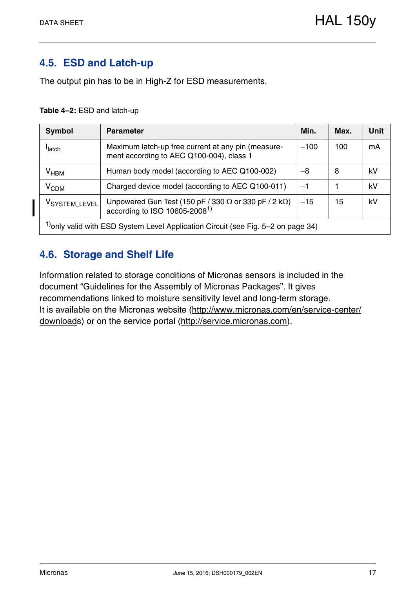## **4.5. ESD and Latch-up**

The output pin has to be in High-Z for ESD measurements.

#### **Table 4–2:** ESD and latch-up

| <b>Symbol</b>                                                                                                                                                       | <b>Parameter</b>                                                                     | Min.   | Max. | <b>Unit</b> |  |  |  |  |
|---------------------------------------------------------------------------------------------------------------------------------------------------------------------|--------------------------------------------------------------------------------------|--------|------|-------------|--|--|--|--|
| Maximum latch-up free current at any pin (measure-<br><b>I</b> latch<br>ment according to AEC Q100-004), class 1                                                    |                                                                                      | $-100$ | 100  | mA          |  |  |  |  |
| $V_{HBM}$                                                                                                                                                           | Human body model (according to AEC Q100-002)                                         | $-8$   | 8    | kV          |  |  |  |  |
| V <sub>CDM</sub>                                                                                                                                                    | Charged device model (according to AEC Q100-011)                                     | $-1$   |      | kV          |  |  |  |  |
| Unpowered Gun Test (150 pF / 330 $\Omega$ or 330 pF / 2 k $\Omega$ )<br>according to ISO 10605-2008 <sup>1)</sup><br>$-15$<br>15<br>kV<br>V <sub>SYSTEM_LEVEL</sub> |                                                                                      |        |      |             |  |  |  |  |
|                                                                                                                                                                     | $1$ ) only valid with ESD System Level Application Circuit (see Fig. 5–2 on page 34) |        |      |             |  |  |  |  |

## **4.6. Storage and Shelf Life**

Information related to storage conditions of Micronas sensors is included in the document "Guidelines for the Assembly of Micronas Packages". It gives recommendations linked to moisture sensitivity level and long-term storage. It is available on the Micronas website (http://www.micronas.com/en/service-center/ downloads) or on the service portal (http://service.micronas.com).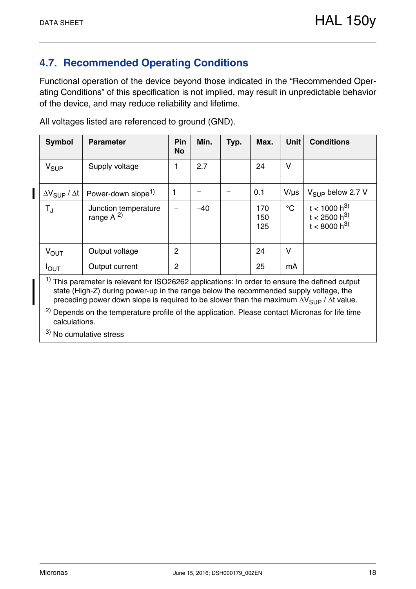## **4.7. Recommended Operating Conditions**

Functional operation of the device beyond those indicated in the "Recommended Operating Conditions" of this specification is not implied, may result in unpredictable behavior of the device, and may reduce reliability and lifetime.

| <b>Symbol</b>                      | <b>Parameter</b>                      | Pin<br><b>No</b> | Min.  | Typ. | Max.              | <b>Unit</b>     | <b>Conditions</b>                                        |
|------------------------------------|---------------------------------------|------------------|-------|------|-------------------|-----------------|----------------------------------------------------------|
| $V_{SUP}$                          | Supply voltage                        | 1                | 2.7   |      | 24                | $\vee$          |                                                          |
| $\Delta V_{\text{SUP}} / \Delta t$ | Power-down slope <sup>1)</sup>        | 1                |       |      | 0.1               | $V/\mu s$       | $V_{\text{SUP}}$ below 2.7 V                             |
| $T_{J}$                            | Junction temperature<br>range $A^{2}$ |                  | $-40$ |      | 170<br>150<br>125 | $\rm ^{\circ}C$ | $t < 1000 h^{3}$<br>$t < 2500 h^{3}$<br>$t < 8000 h^{3}$ |
| $V_{\text{OUT}}$                   | Output voltage                        | $\overline{2}$   |       |      | 24                | $\vee$          |                                                          |
| $I_{\text{OUT}}$<br>$11 - 1$       | Output current                        | $\overline{2}$   |       |      | 25                | mA              |                                                          |

All voltages listed are referenced to ground (GND).

 $1)$  This parameter is relevant for ISO26262 applications: In order to ensure the defined output state (High-Z) during power-up in the range below the recommended supply voltage, the preceding power down slope is required to be slower than the maximum  $\Delta V_{\text{SUP}} / \Delta t$  value.

2) Depends on the temperature profile of the application. Please contact Micronas for life time calculations.

3) No cumulative stress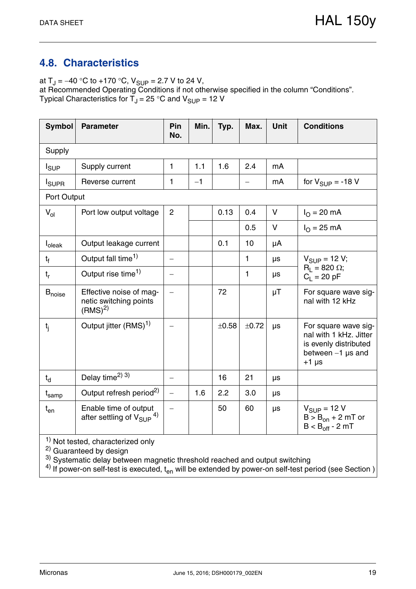## **4.8. Characteristics**

at  $T_J = -40$  °C to +170 °C,  $V_{SUP} = 2.7$  V to 24 V, at Recommended Operating Conditions if not otherwise specified in the column "Conditions". Typical Characteristics for  $T_J$  = 25 °C and  $V_{\text{SUP}}$  = 12 V

| Symbol                       | <b>Parameter</b>                                                   | Pin<br>No.               | Min. | Typ.  | Max.  | <b>Unit</b> | <b>Conditions</b>                                                                                            |
|------------------------------|--------------------------------------------------------------------|--------------------------|------|-------|-------|-------------|--------------------------------------------------------------------------------------------------------------|
| Supply                       |                                                                    |                          |      |       |       |             |                                                                                                              |
| $I_{\text{SUP}}$             | Supply current                                                     | 1                        | 1.1  | 1.6   | 2.4   | mA          |                                                                                                              |
| <b>I</b> SUPR                | Reverse current                                                    | 1                        | $-1$ |       |       | mA          | for $V_{\text{SUP}} = -18$ V                                                                                 |
| Port Output                  |                                                                    |                          |      |       |       |             |                                                                                                              |
| $V_{ol}$                     | Port low output voltage                                            | $\overline{2}$           |      | 0.13  | 0.4   | V           | $I_{O} = 20$ mA                                                                                              |
|                              |                                                                    |                          |      |       | 0.5   | V           | $I_{\Omega} = 25 \text{ mA}$                                                                                 |
| l <sub>oleak</sub>           | Output leakage current                                             |                          |      | 0.1   | 10    | μA          |                                                                                                              |
| t <sub>f</sub>               | Output fall time <sup>1)</sup>                                     | $\overline{\phantom{0}}$ |      |       | 1     | μs          | $V_{SUP} = 12 V;$                                                                                            |
| $t_{r}$                      | Output rise time <sup>1)</sup>                                     |                          |      |       | 1     | μs          | $R_1 = 820 \Omega$ ;<br>$C_1 = 20 pF$                                                                        |
| $B_{noise}$                  | Effective noise of mag-<br>netic switching points<br>$(RMS)^{2}$   | $\overline{\phantom{0}}$ |      | 72    |       | μT          | For square wave sig-<br>nal with 12 kHz                                                                      |
| $t_{i}$                      | Output jitter (RMS) <sup>1)</sup>                                  |                          |      | ±0.58 | ±0.72 | μs          | For square wave sig-<br>nal with 1 kHz. Jitter<br>is evenly distributed<br>between $-1$ µs and<br>$+1 \mu s$ |
| $t_{d}$                      | Delay time <sup>2)</sup> 3)                                        | $\qquad \qquad -$        |      | 16    | 21    | μs          |                                                                                                              |
| $\mathsf{t}_{\mathsf{samp}}$ | Output refresh period <sup>2)</sup>                                | $\equiv$                 | 1.6  | 2.2   | 3.0   | μs          |                                                                                                              |
| $t_{en}$                     | Enable time of output<br>after settling of $V_{\text{SUP}}{}^{4)}$ | $\qquad \qquad -$        |      | 50    | 60    | μs          | $V_{\text{SUP}} = 12 V$<br>$B > B_{on} + 2 mT$ or<br>$B < B_{off} - 2 mT$                                    |

 $\frac{1}{1}$  Not tested, characterized only

2) Guaranteed by design

 $3)$  Systematic delay between magnetic threshold reached and output switching

 $^{\text{4)}}$  If power-on self-test is executed,  $\rm t_{en}$  will be extended by power-on self-test period (see Section )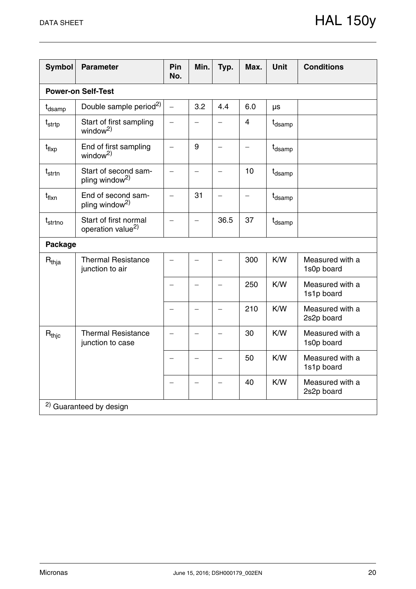| <b>Symbol</b>       | <b>Parameter</b>                                       | Pin<br>No.               | Min.                     | Typ.                     | Max.                     | <b>Unit</b>        | <b>Conditions</b>             |
|---------------------|--------------------------------------------------------|--------------------------|--------------------------|--------------------------|--------------------------|--------------------|-------------------------------|
|                     | <b>Power-on Self-Test</b>                              |                          |                          |                          |                          |                    |                               |
| t <sub>dsamp</sub>  | Double sample period <sup>2)</sup>                     | $\overline{\phantom{0}}$ | 3.2                      | 4.4                      | 6.0                      | μs                 |                               |
| $t_{\sf strtp}$     | Start of first sampling<br>window <sup>2)</sup>        | $\overline{\phantom{0}}$ |                          |                          | $\overline{4}$           | t <sub>dsamp</sub> |                               |
| $t_{\sf fluxp}$     | End of first sampling<br>window <sup>2)</sup>          | $\overline{\phantom{0}}$ | 9                        |                          | $\overline{\phantom{0}}$ | t <sub>dsamp</sub> |                               |
| t <sub>strtn</sub>  | Start of second sam-<br>pling window <sup>2)</sup>     | —                        | $\qquad \qquad -$        |                          | 10                       | t <sub>dsamp</sub> |                               |
| t <sub>flxn</sub>   | End of second sam-<br>pling window <sup>2)</sup>       | $\overline{\phantom{0}}$ | 31                       | $\overline{\phantom{0}}$ | $\overline{\phantom{0}}$ | t <sub>dsamp</sub> |                               |
| $t_{\text{strtno}}$ | Start of first normal<br>operation value <sup>2)</sup> | $\equiv$                 |                          | 36.5                     | 37                       | t <sub>dsamp</sub> |                               |
| <b>Package</b>      |                                                        |                          |                          |                          |                          |                    |                               |
| $R_{thja}$          | <b>Thermal Resistance</b><br>junction to air           | $\overline{\phantom{0}}$ |                          |                          | 300                      | K/W                | Measured with a<br>1s0p board |
|                     |                                                        | $\overline{\phantom{0}}$ |                          |                          | 250                      | K/W                | Measured with a<br>1s1p board |
|                     |                                                        | $\overline{\phantom{0}}$ |                          |                          | 210                      | K/W                | Measured with a<br>2s2p board |
| $R_{thjc}$          | <b>Thermal Resistance</b><br>junction to case          |                          |                          |                          | 30                       | K/W                | Measured with a<br>1s0p board |
|                     |                                                        | $\overline{\phantom{0}}$ | $\overline{\phantom{0}}$ |                          | 50                       | K/W                | Measured with a<br>1s1p board |
|                     |                                                        | $\overline{\phantom{0}}$ |                          |                          | 40                       | K/W                | Measured with a<br>2s2p board |
|                     | <sup>2)</sup> Guaranteed by design                     |                          |                          |                          |                          |                    |                               |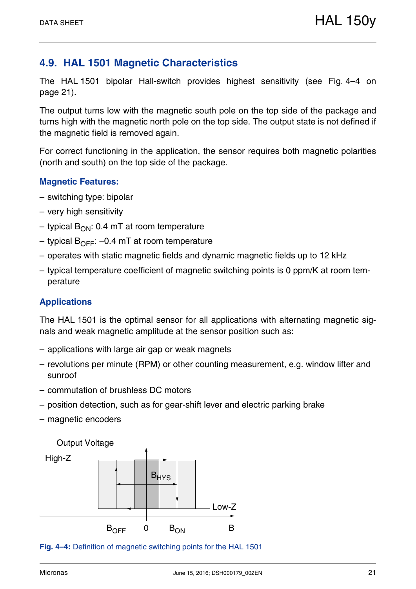## **4.9. HAL 1501 Magnetic Characteristics**

The HAL 1501 bipolar Hall-switch provides highest sensitivity (see Fig. 4–4 on page 21).

The output turns low with the magnetic south pole on the top side of the package and turns high with the magnetic north pole on the top side. The output state is not defined if the magnetic field is removed again.

For correct functioning in the application, the sensor requires both magnetic polarities (north and south) on the top side of the package.

#### **Magnetic Features:**

- switching type: bipolar
- very high sensitivity
- typical  $B_{ON}$ : 0.4 mT at room temperature
- typical  $B_{\text{OFF}}$ : –0.4 mT at room temperature
- operates with static magnetic fields and dynamic magnetic fields up to 12 kHz
- typical temperature coefficient of magnetic switching points is 0 ppm/K at room temperature

#### **Applications**

The HAL 1501 is the optimal sensor for all applications with alternating magnetic signals and weak magnetic amplitude at the sensor position such as:

- applications with large air gap or weak magnets
- revolutions per minute (RPM) or other counting measurement, e.g. window lifter and sunroof
- commutation of brushless DC motors
- position detection, such as for gear-shift lever and electric parking brake
- magnetic encoders



**Fig. 4–4:** Definition of magnetic switching points for the HAL 1501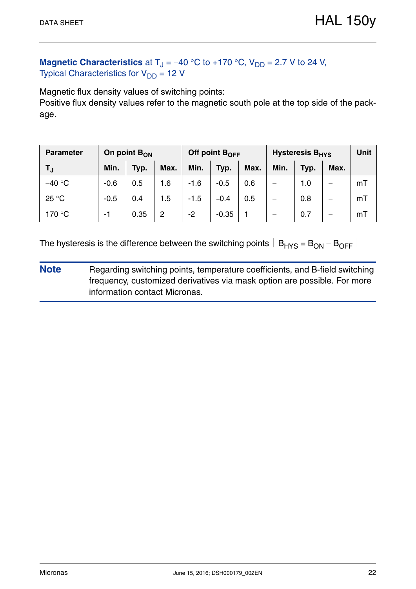## **Magnetic Characteristics** at  $T_J = -40$  °C to +170 °C,  $V_{DD} = 2.7$  V to 24 V, Typical Characteristics for  $V_{DD} = 12$  V

Magnetic flux density values of switching points:

Positive flux density values refer to the magnetic south pole at the top side of the package.

| <b>Parameter</b> | On point $B_{ON}$ |      |      | Off point $B_{OFF}$ |         |      | <b>Hysteresis B<sub>HYS</sub></b> | <b>Unit</b> |      |    |
|------------------|-------------------|------|------|---------------------|---------|------|-----------------------------------|-------------|------|----|
| TJ               | Min.              | Typ. | Max. | Min.                | Typ.    | Max. | Min.                              | Typ.        | Max. |    |
| $-40 °C$         | $-0.6$            | 0.5  | 1.6  | $-1.6$              | $-0.5$  | 0.6  |                                   | 1.0         | -    | mT |
| 25 °C            | $-0.5$            | 0.4  | 1.5  | $-1.5$              | $-0.4$  | 0.5  |                                   | 0.8         | –    | mT |
| 170 °C           | -1                | 0.35 | 2    | -2                  | $-0.35$ |      |                                   | 0.7         |      | mT |

The hysteresis is the difference between the switching points  $|B_{HYS} = B_{ON} - B_{OFF}|$ 

**Note** Regarding switching points, temperature coefficients, and B-field switching frequency, customized derivatives via mask option are possible. For more information contact Micronas.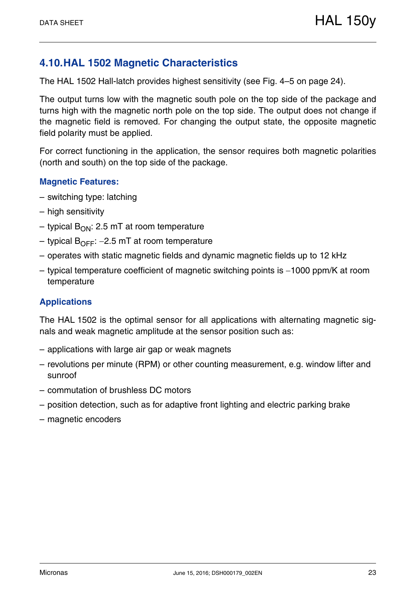## **4.10.HAL 1502 Magnetic Characteristics**

The HAL 1502 Hall-latch provides highest sensitivity (see Fig. 4–5 on page 24).

The output turns low with the magnetic south pole on the top side of the package and turns high with the magnetic north pole on the top side. The output does not change if the magnetic field is removed. For changing the output state, the opposite magnetic field polarity must be applied.

For correct functioning in the application, the sensor requires both magnetic polarities (north and south) on the top side of the package.

#### **Magnetic Features:**

- switching type: latching
- high sensitivity
- typical  $B_{ON}$ : 2.5 mT at room temperature
- typical  $B_{\text{OFF}}$ : –2.5 mT at room temperature
- operates with static magnetic fields and dynamic magnetic fields up to 12 kHz
- $-$  typical temperature coefficient of magnetic switching points is  $-1000$  ppm/K at room temperature

#### **Applications**

The HAL 1502 is the optimal sensor for all applications with alternating magnetic signals and weak magnetic amplitude at the sensor position such as:

- applications with large air gap or weak magnets
- revolutions per minute (RPM) or other counting measurement, e.g. window lifter and sunroof
- commutation of brushless DC motors
- position detection, such as for adaptive front lighting and electric parking brake
- magnetic encoders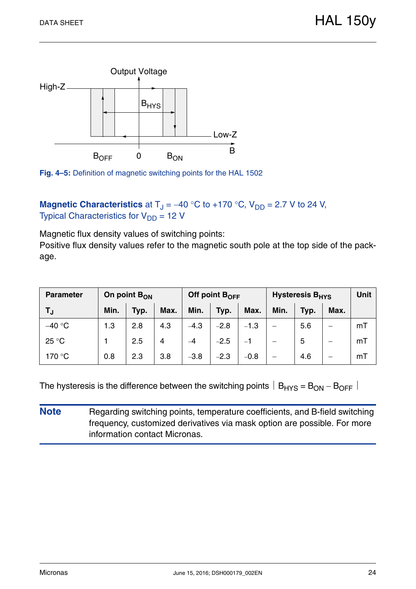

**Fig. 4–5:** Definition of magnetic switching points for the HAL 1502

**Magnetic Characteristics** at  $T_{\text{J}} = -40 \degree C$  to +170  $\degree C$ ,  $V_{\text{DD}} = 2.7$  V to 24 V, Typical Characteristics for  $V_{DD} = 12$  V

Magnetic flux density values of switching points:

Positive flux density values refer to the magnetic south pole at the top side of the package.

| <b>Parameter</b> |      | On point $B_{ON}$ |      |        | Off point $B_{\text{OFF}}$ |        | Hysteresis B <sub>HYS</sub> | <b>Unit</b> |      |    |
|------------------|------|-------------------|------|--------|----------------------------|--------|-----------------------------|-------------|------|----|
| T,               | Min. | Typ.              | Max. | Min.   | Typ.                       | Max.   | Min.                        | Typ.        | Max. |    |
| $-40 °C$         | 1.3  | 2.8               | 4.3  | $-4.3$ | $-2.8$                     | $-1.3$ |                             | 5.6         |      | mT |
| 25 °C            |      | 2.5               | 4    |        | $-2.5$                     |        |                             | 5           |      | mT |
| 170 °C           | 0.8  | 2.3               | 3.8  | $-3.8$ | $-2.3$                     | $-0.8$ |                             | 4.6         |      | mT |

The hysteresis is the difference between the switching points  $|B_{HYS} = B_{ON} - B_{OFF}|$ 

**Note** Regarding switching points, temperature coefficients, and B-field switching frequency, customized derivatives via mask option are possible. For more information contact Micronas.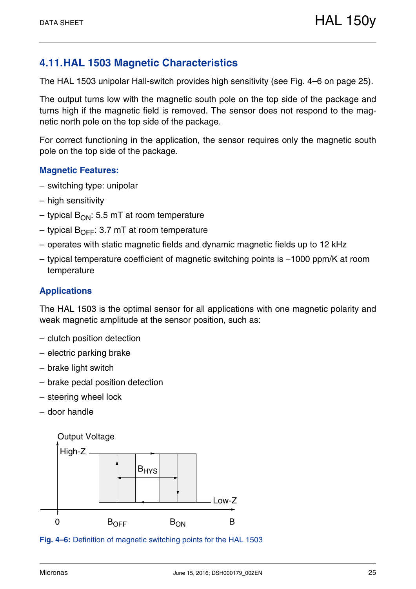## **4.11.HAL 1503 Magnetic Characteristics**

The HAL 1503 unipolar Hall-switch provides high sensitivity (see Fig. 4–6 on page 25).

The output turns low with the magnetic south pole on the top side of the package and turns high if the magnetic field is removed. The sensor does not respond to the magnetic north pole on the top side of the package.

For correct functioning in the application, the sensor requires only the magnetic south pole on the top side of the package.

#### **Magnetic Features:**

- switching type: unipolar
- high sensitivity
- typical  $B_{ON}$ : 5.5 mT at room temperature
- typical  $B_{\text{OFF}}$ : 3.7 mT at room temperature
- operates with static magnetic fields and dynamic magnetic fields up to 12 kHz
- $-$  typical temperature coefficient of magnetic switching points is  $-1000$  ppm/K at room temperature

#### **Applications**

The HAL 1503 is the optimal sensor for all applications with one magnetic polarity and weak magnetic amplitude at the sensor position, such as:

- clutch position detection
- electric parking brake
- brake light switch
- brake pedal position detection
- steering wheel lock
- door handle



**Fig. 4–6:** Definition of magnetic switching points for the HAL 1503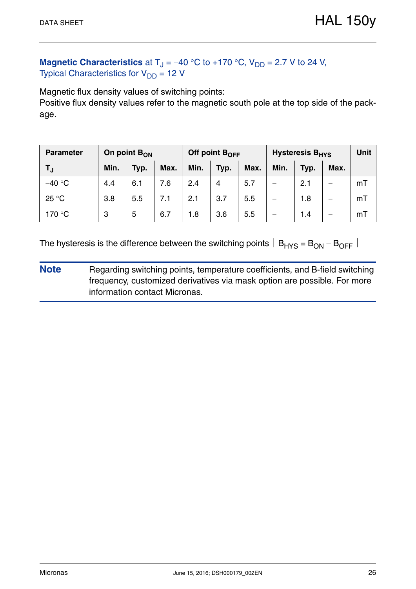## **Magnetic Characteristics** at  $T_J = -40$  °C to +170 °C,  $V_{DD} = 2.7$  V to 24 V, Typical Characteristics for  $V_{DD} = 12$  V

Magnetic flux density values of switching points:

Positive flux density values refer to the magnetic south pole at the top side of the package.

| <b>Parameter</b> |      | On point B <sub>ON</sub> |      |      | Off point $B_{OFF}$ |      | <b>Hysteresis B<sub>HYS</sub></b> | <b>Unit</b> |      |    |
|------------------|------|--------------------------|------|------|---------------------|------|-----------------------------------|-------------|------|----|
| T <sub>J</sub>   | Min. | Typ.                     | Max. | Min. | Typ.                | Max. | Min.                              | Typ.        | Max. |    |
| $-40$ °C         | 4.4  | 6.1                      | 7.6  | 2.4  | 4                   | 5.7  |                                   | 2.1         |      | mT |
| 25 °C            | 3.8  | 5.5                      | 7.1  | 2.1  | 3.7                 | 5.5  |                                   | 1.8         |      | mT |
| 170 °C           | 3    | 5                        | 6.7  | 1.8  | 3.6                 | 5.5  |                                   | 1.4         |      | mT |

The hysteresis is the difference between the switching points  $|B_{HYS} = B_{ON} - B_{OFF}|$ 

**Note** Regarding switching points, temperature coefficients, and B-field switching frequency, customized derivatives via mask option are possible. For more information contact Micronas.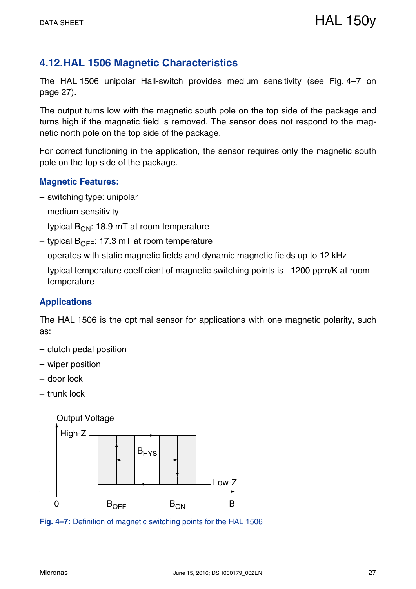## **4.12.HAL 1506 Magnetic Characteristics**

The HAL 1506 unipolar Hall-switch provides medium sensitivity (see Fig. 4–7 on page 27).

The output turns low with the magnetic south pole on the top side of the package and turns high if the magnetic field is removed. The sensor does not respond to the magnetic north pole on the top side of the package.

For correct functioning in the application, the sensor requires only the magnetic south pole on the top side of the package.

#### **Magnetic Features:**

- switching type: unipolar
- medium sensitivity
- typical  $B_{ON}$ : 18.9 mT at room temperature
- typical  $B_{\text{OFF}}$ : 17.3 mT at room temperature
- operates with static magnetic fields and dynamic magnetic fields up to 12 kHz
- $-$  typical temperature coefficient of magnetic switching points is  $-1200$  ppm/K at room temperature

#### **Applications**

The HAL 1506 is the optimal sensor for applications with one magnetic polarity, such as:

- clutch pedal position
- wiper position
- door lock
- trunk lock



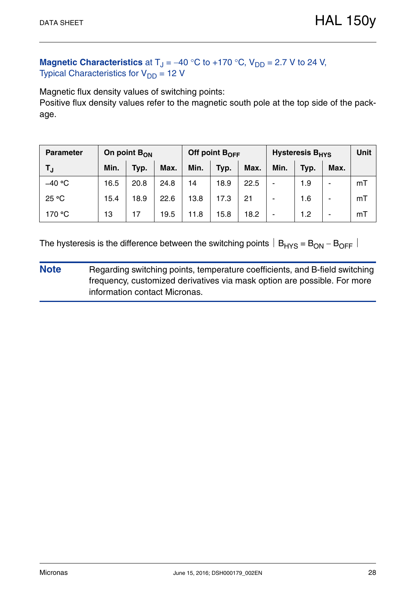## **Magnetic Characteristics** at  $T_J = -40$  °C to +170 °C,  $V_{DD} = 2.7$  V to 24 V, Typical Characteristics for  $V_{DD} = 12$  V

Magnetic flux density values of switching points:

Positive flux density values refer to the magnetic south pole at the top side of the package.

| <b>Parameter</b> | On point B <sub>ON</sub> |      |      | Off point $B_{OFF}$ |      |      | <b>Hysteresis B<sub>HYS</sub></b> | <b>Unit</b> |      |    |
|------------------|--------------------------|------|------|---------------------|------|------|-----------------------------------|-------------|------|----|
| T <sub>J</sub>   | Min.                     | Typ. | Max. | Min.                | Typ. | Max. | Min.                              | Typ.        | Max. |    |
| $-40$ °C         | 16.5                     | 20.8 | 24.8 | 14                  | 18.9 | 22.5 | -                                 | 1.9         | -    | mT |
| 25 °C            | 15.4                     | 18.9 | 22.6 | 13.8                | 17.3 | 21   |                                   | 1.6         | -    | mT |
| 170 °C           | 13                       | 17   | 19.5 | $\overline{1.8}$    | 15.8 | 18.2 |                                   | 1.2         | $\,$ | mT |

The hysteresis is the difference between the switching points  $|B_{HYS} = B_{ON} - B_{OFF}|$ 

**Note** Regarding switching points, temperature coefficients, and B-field switching frequency, customized derivatives via mask option are possible. For more information contact Micronas.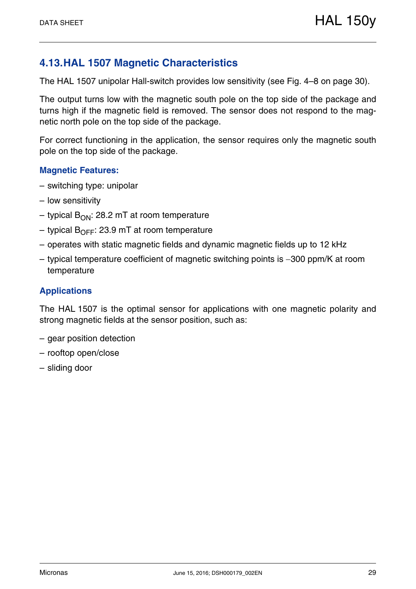## **4.13.HAL 1507 Magnetic Characteristics**

The HAL 1507 unipolar Hall-switch provides low sensitivity (see Fig. 4–8 on page 30).

The output turns low with the magnetic south pole on the top side of the package and turns high if the magnetic field is removed. The sensor does not respond to the magnetic north pole on the top side of the package.

For correct functioning in the application, the sensor requires only the magnetic south pole on the top side of the package.

#### **Magnetic Features:**

- switching type: unipolar
- low sensitivity
- typical  $B_{ON}$ : 28.2 mT at room temperature
- typical  $B_{\text{OFF}}$ : 23.9 mT at room temperature
- operates with static magnetic fields and dynamic magnetic fields up to 12 kHz
- $-$  typical temperature coefficient of magnetic switching points is  $-300$  ppm/K at room temperature

#### **Applications**

The HAL 1507 is the optimal sensor for applications with one magnetic polarity and strong magnetic fields at the sensor position, such as:

- gear position detection
- rooftop open/close
- sliding door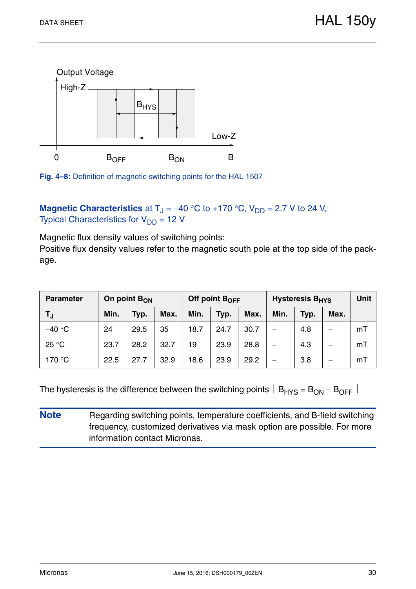

**Fig. 4–8:** Definition of magnetic switching points for the HAL 1507

## **Magnetic Characteristics** at  $T_J = -40$  °C to +170 °C,  $V_{DD} = 2.7$  V to 24 V, Typical Characteristics for  $V_{DD} = 12$  V

Magnetic flux density values of switching points:

Positive flux density values refer to the magnetic south pole at the top side of the package.

| <b>Parameter</b> |      | On point $B_{ON}$ |      |      | Off point $B_{\text{OFF}}$ |      | Hysteresis B <sub>HYS</sub> | <b>Unit</b> |      |    |
|------------------|------|-------------------|------|------|----------------------------|------|-----------------------------|-------------|------|----|
| T <sub>J</sub>   | Min. | Typ.              | Max. | Min. | Typ.                       | Max. | Min.                        | Typ.        | Max. |    |
| $-40 °C$         | 24   | 29.5              | 35   | 18.7 | 24.7                       | 30.7 |                             | 4.8         | —    | mT |
| 25 °C            | 23.7 | 28.2              | 32.7 | 19   | 23.9                       | 28.8 |                             | 4.3         | —    | mT |
| 170 °C           | 22.5 | 27.7              | 32.9 | 18.6 | 23.9                       | 29.2 |                             | 3.8         | —    | mT |

The hysteresis is the difference between the switching points  $|B_{HYS} = B_{ON} - B_{OFF}|$ 

**Note** Regarding switching points, temperature coefficients, and B-field switching frequency, customized derivatives via mask option are possible. For more information contact Micronas.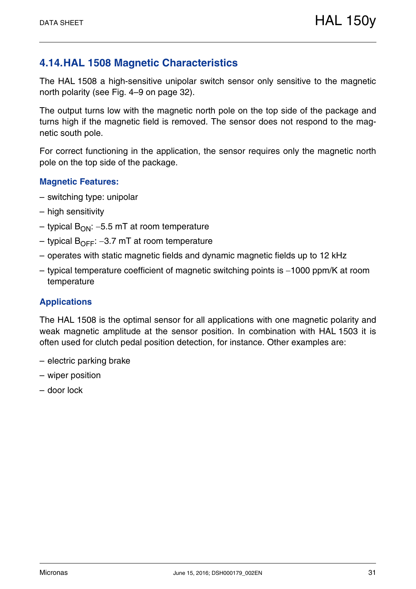## **4.14.HAL 1508 Magnetic Characteristics**

The HAL 1508 a high-sensitive unipolar switch sensor only sensitive to the magnetic north polarity (see Fig. 4–9 on page 32).

The output turns low with the magnetic north pole on the top side of the package and turns high if the magnetic field is removed. The sensor does not respond to the magnetic south pole.

For correct functioning in the application, the sensor requires only the magnetic north pole on the top side of the package.

#### **Magnetic Features:**

- switching type: unipolar
- high sensitivity
- typical  $B_{ON}$ : -5.5 mT at room temperature
- typical  $B_{\text{OFF}}$ : -3.7 mT at room temperature
- operates with static magnetic fields and dynamic magnetic fields up to 12 kHz
- $-$  typical temperature coefficient of magnetic switching points is  $-1000$  ppm/K at room temperature

#### **Applications**

The HAL 1508 is the optimal sensor for all applications with one magnetic polarity and weak magnetic amplitude at the sensor position. In combination with HAL 1503 it is often used for clutch pedal position detection, for instance. Other examples are:

- electric parking brake
- wiper position
- door lock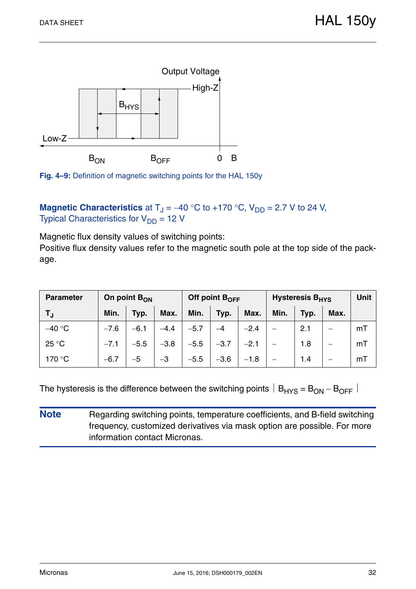

**Fig. 4–9:** Definition of magnetic switching points for the HAL 150y

**Magnetic Characteristics** at  $T_J = -40$  °C to +170 °C,  $V_{DD} = 2.7$  V to 24 V, Typical Characteristics for  $V_{DD} = 12$  V

Magnetic flux density values of switching points:

Positive flux density values refer to the magnetic south pole at the top side of the package.

| <b>Parameter</b> |        | On point $B_{ON}$ |        |        | Off point $B_{\text{OFF}}$ |        | Hysteresis B <sub>HYS</sub> | <b>Unit</b> |      |    |
|------------------|--------|-------------------|--------|--------|----------------------------|--------|-----------------------------|-------------|------|----|
| T,               | Min.   | Typ.              | Max.   | Min.   | Typ.                       | Max.   | Min.                        | Typ.        | Max. |    |
| $-40 °C$         | $-7.6$ | $-6.1$            | $-4.4$ | $-5.7$ |                            | $-2.4$ |                             | 2.1         |      | mT |
| $25^{\circ}$ C   | $-7.1$ | $-5.5$            | $-3.8$ | $-5.5$ | $-3.7$                     | $-2.1$ |                             | 1.8         | —    | mT |
| 170 °C           | $-6.7$ | $-5$              | $-3$   | $-5.5$ | $-3.6$                     | $-1.8$ |                             | 1.4         |      | mT |

The hysteresis is the difference between the switching points  $|B_{HYS} = B_{ON} - B_{OFF}|$ 

**Note** Regarding switching points, temperature coefficients, and B-field switching frequency, customized derivatives via mask option are possible. For more information contact Micronas.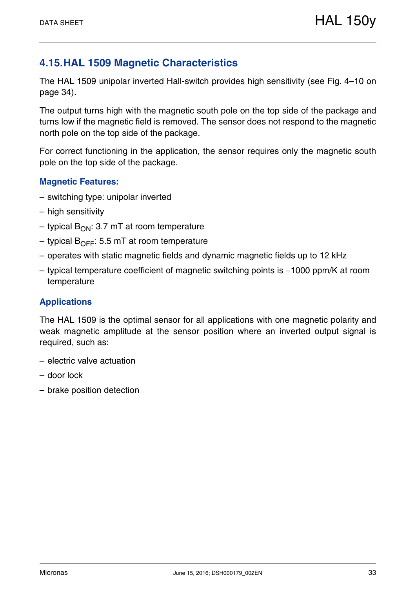## **4.15.HAL 1509 Magnetic Characteristics**

The HAL 1509 unipolar inverted Hall-switch provides high sensitivity (see Fig. 4–10 on page 34).

The output turns high with the magnetic south pole on the top side of the package and turns low if the magnetic field is removed. The sensor does not respond to the magnetic north pole on the top side of the package.

For correct functioning in the application, the sensor requires only the magnetic south pole on the top side of the package.

#### **Magnetic Features:**

- switching type: unipolar inverted
- high sensitivity
- typical  $B_{ON}$ : 3.7 mT at room temperature
- typical  $B_{\text{OFF}}$ : 5.5 mT at room temperature
- operates with static magnetic fields and dynamic magnetic fields up to 12 kHz
- $-$  typical temperature coefficient of magnetic switching points is  $-1000$  ppm/K at room temperature

#### **Applications**

The HAL 1509 is the optimal sensor for all applications with one magnetic polarity and weak magnetic amplitude at the sensor position where an inverted output signal is required, such as:

- electric valve actuation
- door lock
- brake position detection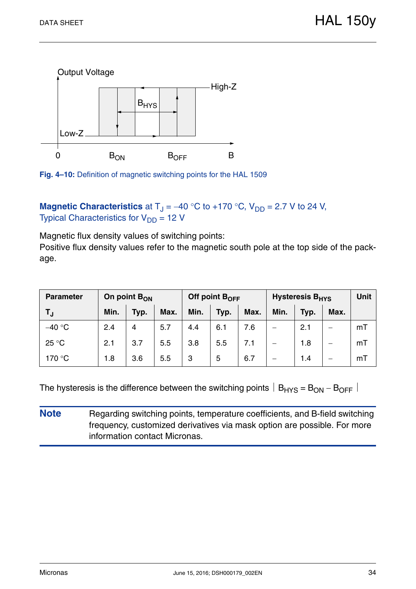

**Fig. 4–10:** Definition of magnetic switching points for the HAL 1509

**Magnetic Characteristics** at  $T_J = -40$  °C to +170 °C,  $V_{DD} = 2.7$  V to 24 V, Typical Characteristics for  $V_{DD} = 12$  V

Magnetic flux density values of switching points:

Positive flux density values refer to the magnetic south pole at the top side of the package.

| <b>Parameter</b> |      | On point $B_{ON}$ |      |      | Off point $B_{\text{OFF}}$ |      | <b>Hysteresis B<sub>HYS</sub></b> | <b>Unit</b> |      |    |
|------------------|------|-------------------|------|------|----------------------------|------|-----------------------------------|-------------|------|----|
| T,               | Min. | Typ.              | Max. | Min. | Typ.                       | Max. | Min.                              | Typ.        | Max. |    |
| $-40$ °C         | 2.4  | 4                 | 5.7  | 4.4  | 6.1                        | 7.6  |                                   | 2.1         |      | mT |
| 25 °C            | 2.1  | 3.7               | 5.5  | 3.8  | 5.5                        | 7.1  |                                   | 1.8         |      | mT |
| 170 °C           | 1.8  | 3.6               | 5.5  | 3    | 5                          | 6.7  |                                   | 1.4         |      | mT |

The hysteresis is the difference between the switching points  $|B_{HYS} = B_{ON} - B_{OFF}|$ 

**Note** Regarding switching points, temperature coefficients, and B-field switching frequency, customized derivatives via mask option are possible. For more information contact Micronas.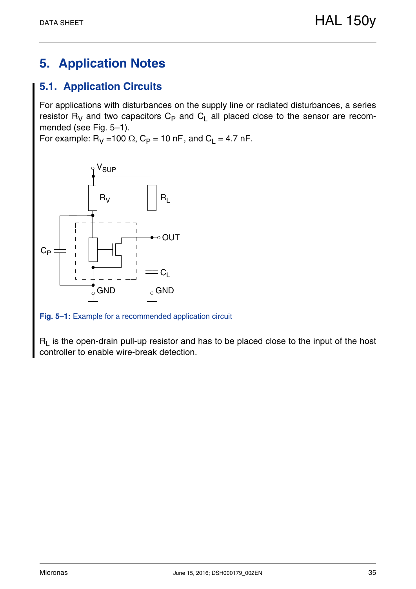# **5. Application Notes**

## **5.1. Application Circuits**

For applications with disturbances on the supply line or radiated disturbances, a series resistor  $R_V$  and two capacitors  $C_P$  and  $C_L$  all placed close to the sensor are recommended (see Fig. 5–1).

For example:  $R_V = 100 \Omega$ ,  $C_P = 10 \text{ nF}$ , and  $C_L = 4.7 \text{ nF}$ .



**Fig. 5–1:** Example for a recommended application circuit

 $R_L$  is the open-drain pull-up resistor and has to be placed close to the input of the host controller to enable wire-break detection.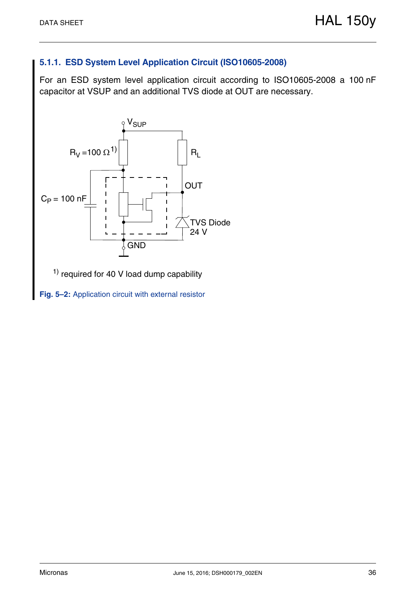## **5.1.1. ESD System Level Application Circuit (ISO10605-2008)**

For an ESD system level application circuit according to ISO10605-2008 a 100 nF capacitor at VSUP and an additional TVS diode at OUT are necessary.



 $<sup>1</sup>$  required for 40 V load dump capability</sup>

**Fig. 5–2:** Application circuit with external resistor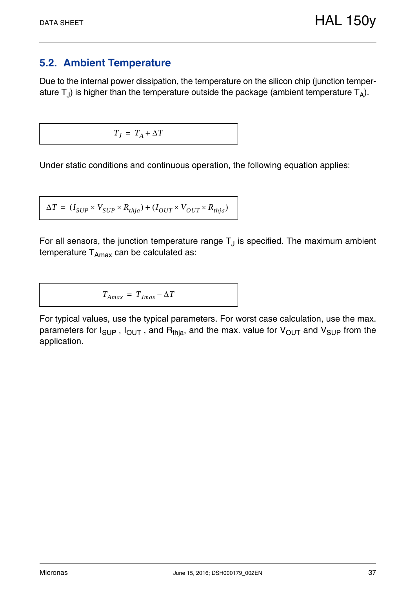## **5.2. Ambient Temperature**

Due to the internal power dissipation, the temperature on the silicon chip (junction temperature  $T_J$ ) is higher than the temperature outside the package (ambient temperature  $T_A$ ).

$$
T_J = T_A + \Delta T
$$

Under static conditions and continuous operation, the following equation applies:

$$
\Delta T = (I_{SUP} \times V_{SUP} \times R_{thja}) + (I_{OUT} \times V_{OUT} \times R_{thja})
$$

For all sensors, the junction temperature range  $T_J$  is specified. The maximum ambient temperature  $T_{Amax}$  can be calculated as:

$$
T_{Amax} = T_{Jmax} - \Delta T
$$

For typical values, use the typical parameters. For worst case calculation, use the max. parameters for  $I_{\text{SUP}}$ ,  $I_{\text{OUT}}$ , and  $R_{\text{thia}}$ , and the max. value for  $V_{\text{OUT}}$  and  $V_{\text{SUP}}$  from the application.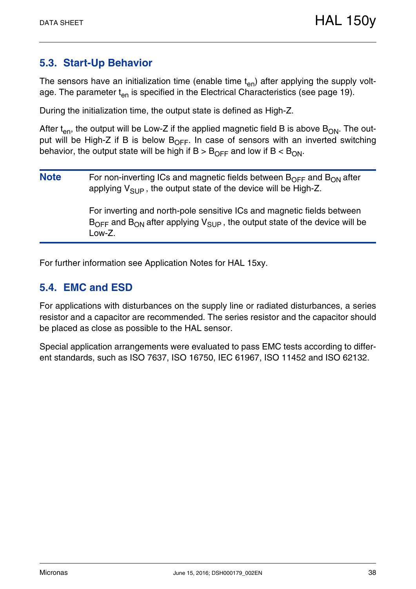## **5.3. Start-Up Behavior**

The sensors have an initialization time (enable time  $t_{en}$ ) after applying the supply voltage. The parameter  $t_{en}$  is specified in the Electrical Characteristics (see page 19).

During the initialization time, the output state is defined as High-Z.

After  $t_{en}$ , the output will be Low-Z if the applied magnetic field B is above  $B_{ON}$ . The output will be High-Z if B is below  $B_{\text{OFF}}$ . In case of sensors with an inverted switching behavior, the output state will be high if  $B > B_{\text{OFF}}$  and low if  $B < B_{\text{ON}}$ .

**Note** For non-inverting ICs and magnetic fields between B<sub>OFF</sub> and B<sub>ON</sub> after applying  $V_{SIIP}$ , the output state of the device will be High-Z.

> For inverting and north-pole sensitive ICs and magnetic fields between  $B_{\text{OFF}}$  and  $B_{\text{ON}}$  after applying  $V_{\text{SUP}}$ , the output state of the device will be Low-Z.

For further information see Application Notes for HAL 15xy.

## **5.4. EMC and ESD**

For applications with disturbances on the supply line or radiated disturbances, a series resistor and a capacitor are recommended. The series resistor and the capacitor should be placed as close as possible to the HAL sensor.

Special application arrangements were evaluated to pass EMC tests according to different standards, such as ISO 7637, ISO 16750, IEC 61967, ISO 11452 and ISO 62132.